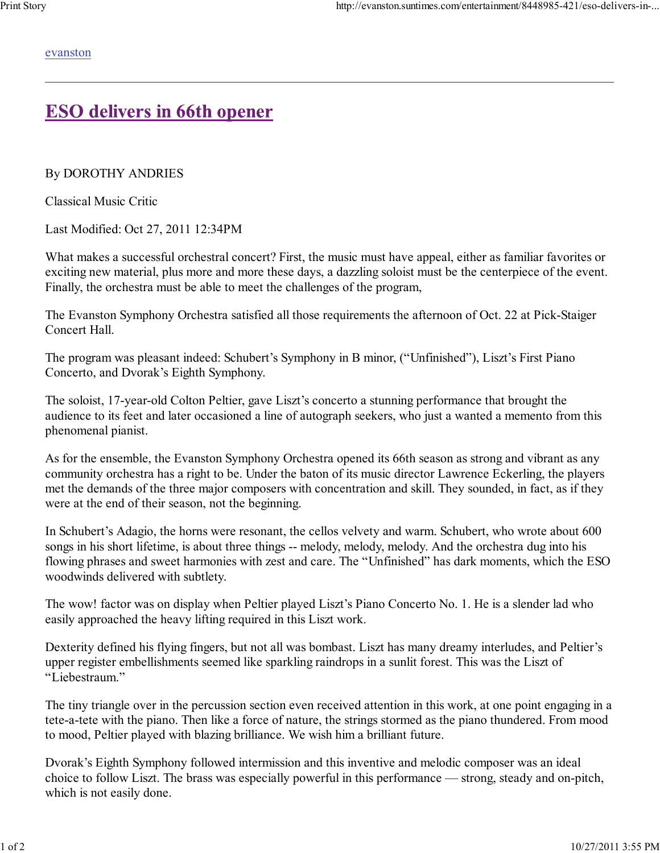evanston

## **ESO delivers in 66th opener**

By DOROTHY ANDRIES

Classical Music Critic

Last Modified: Oct 27, 2011 12:34PM

What makes a successful orchestral concert? First, the music must have appeal, either as familiar favorites or exciting new material, plus more and more these days, a dazzling soloist must be the centerpiece of the event. Finally, the orchestra must be able to meet the challenges of the program,

The Evanston Symphony Orchestra satisfied all those requirements the afternoon of Oct. 22 at Pick-Staiger Concert Hall.

The program was pleasant indeed: Schubert's Symphony in B minor, ("Unfinished"), Liszt's First Piano Concerto, and Dvorak's Eighth Symphony.

The soloist, 17-year-old Colton Peltier, gave Liszt's concerto a stunning performance that brought the audience to its feet and later occasioned a line of autograph seekers, who just a wanted a memento from this phenomenal pianist.

As for the ensemble, the Evanston Symphony Orchestra opened its 66th season as strong and vibrant as any community orchestra has a right to be. Under the baton of its music director Lawrence Eckerling, the players met the demands of the three major composers with concentration and skill. They sounded, in fact, as if they were at the end of their season, not the beginning.

In Schubert's Adagio, the horns were resonant, the cellos velvety and warm. Schubert, who wrote about 600 songs in his short lifetime, is about three things -- melody, melody, melody. And the orchestra dug into his flowing phrases and sweet harmonies with zest and care. The "Unfinished" has dark moments, which the ESO woodwinds delivered with subtlety.

The wow! factor was on display when Peltier played Liszt's Piano Concerto No. 1. He is a slender lad who easily approached the heavy lifting required in this Liszt work.

Dexterity defined his flying fingers, but not all was bombast. Liszt has many dreamy interludes, and Peltier's upper register embellishments seemed like sparkling raindrops in a sunlit forest. This was the Liszt of "Liebestraum."

The tiny triangle over in the percussion section even received attention in this work, at one point engaging in a tete-a-tete with the piano. Then like a force of nature, the strings stormed as the piano thundered. From mood to mood, Peltier played with blazing brilliance. We wish him a brilliant future.

Dvorak's Eighth Symphony followed intermission and this inventive and melodic composer was an ideal choice to follow Liszt. The brass was especially powerful in this performance — strong, steady and on-pitch, which is not easily done.